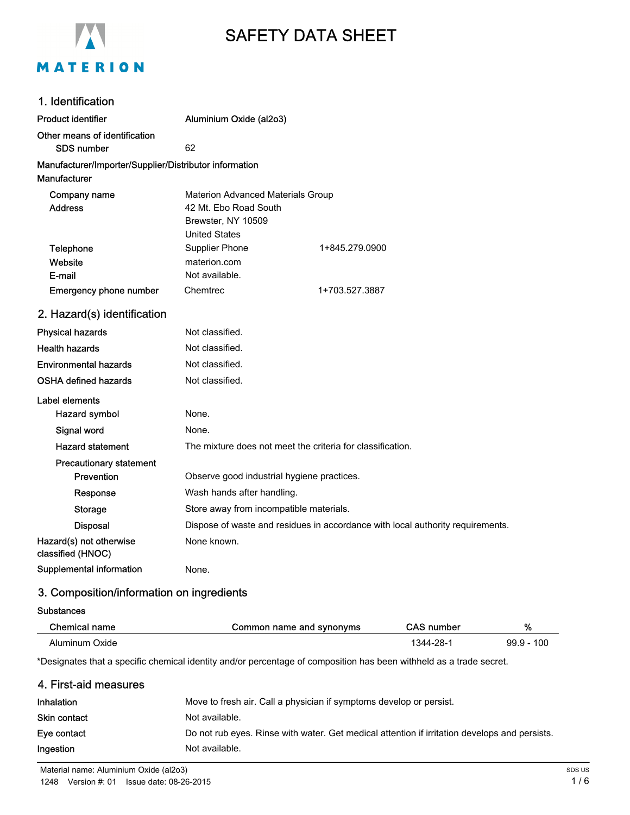

# SAFETY DATA SHEET

| 1. Identification                                      |                                                            |                                                                                |
|--------------------------------------------------------|------------------------------------------------------------|--------------------------------------------------------------------------------|
| <b>Product identifier</b>                              | Aluminium Oxide (al2o3)                                    |                                                                                |
| Other means of identification                          |                                                            |                                                                                |
| <b>SDS number</b>                                      | 62                                                         |                                                                                |
| Manufacturer/Importer/Supplier/Distributor information |                                                            |                                                                                |
| <b>Manufacturer</b>                                    |                                                            |                                                                                |
| Company name                                           | Materion Advanced Materials Group                          |                                                                                |
| <b>Address</b>                                         | 42 Mt. Ebo Road South                                      |                                                                                |
|                                                        | Brewster, NY 10509<br><b>United States</b>                 |                                                                                |
| Telephone                                              | <b>Supplier Phone</b>                                      | 1+845.279.0900                                                                 |
| Website                                                | materion.com                                               |                                                                                |
| E-mail                                                 | Not available.                                             |                                                                                |
| <b>Emergency phone number</b>                          | Chemtrec                                                   | 1+703.527.3887                                                                 |
| 2. Hazard(s) identification                            |                                                            |                                                                                |
| <b>Physical hazards</b>                                | Not classified.                                            |                                                                                |
| <b>Health hazards</b>                                  | Not classified.                                            |                                                                                |
| <b>Environmental hazards</b>                           | Not classified.                                            |                                                                                |
| <b>OSHA defined hazards</b>                            | Not classified.                                            |                                                                                |
| Label elements                                         |                                                            |                                                                                |
| Hazard symbol                                          | None.                                                      |                                                                                |
| Signal word                                            | None.                                                      |                                                                                |
| <b>Hazard statement</b>                                | The mixture does not meet the criteria for classification. |                                                                                |
| <b>Precautionary statement</b>                         |                                                            |                                                                                |
| <b>Prevention</b>                                      | Observe good industrial hygiene practices.                 |                                                                                |
| Response                                               | Wash hands after handling.                                 |                                                                                |
| <b>Storage</b>                                         | Store away from incompatible materials.                    |                                                                                |
| <b>Disposal</b>                                        |                                                            | Dispose of waste and residues in accordance with local authority requirements. |
| Hazard(s) not otherwise<br>classified (HNOC)           | None known.                                                |                                                                                |
| Supplemental information                               | None.                                                      |                                                                                |

# 3. Composition/information on ingredients

#### **Substances**

| Chemical name  | Common name and synonyms | CAS number | %             |
|----------------|--------------------------|------------|---------------|
| Aluminum Oxide |                          | 1344-28-   | 10C<br>99.9 - |

\*Designates that a specific chemical identity and/or percentage of composition has been withheld as a trade secret.

#### 4. First-aid measures

| <b>Inhalation</b> | Move to fresh air. Call a physician if symptoms develop or persist.                           |
|-------------------|-----------------------------------------------------------------------------------------------|
| Skin contact      | Not available.                                                                                |
| Eye contact       | Do not rub eyes. Rinse with water. Get medical attention if irritation develops and persists. |
| Ingestion         | Not available.                                                                                |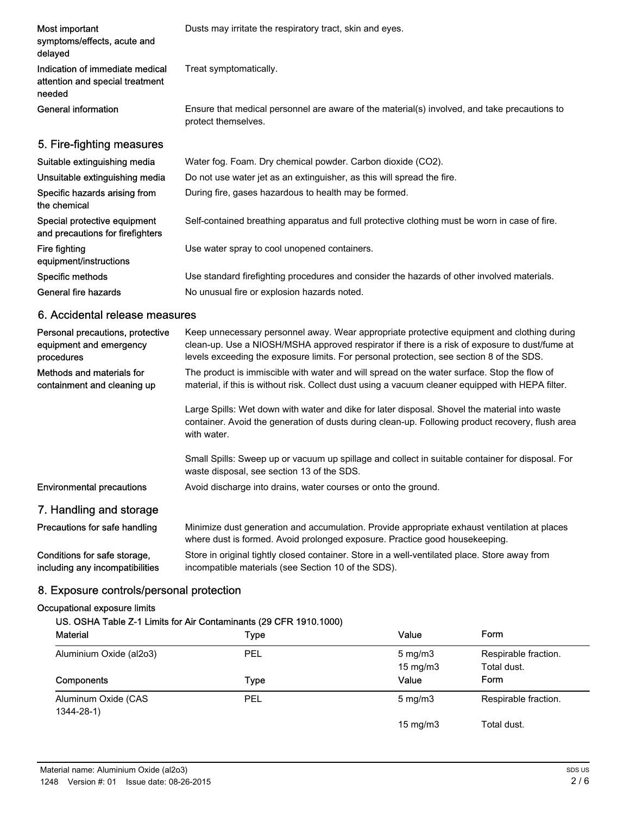| Most important<br>symptoms/effects, acute and<br>delayed                     | Dusts may irritate the respiratory tract, skin and eyes.                                                            |
|------------------------------------------------------------------------------|---------------------------------------------------------------------------------------------------------------------|
| Indication of immediate medical<br>attention and special treatment<br>needed | Treat symptomatically.                                                                                              |
| General information                                                          | Ensure that medical personnel are aware of the material(s) involved, and take precautions to<br>protect themselves. |
| 5. Fire-fighting measures                                                    |                                                                                                                     |
| Suitable extinguishing media                                                 | Water fog. Foam. Dry chemical powder. Carbon dioxide (CO2).                                                         |
| Unsuitable extinguishing media                                               | Do not use water jet as an extinguisher, as this will spread the fire.                                              |
| Specific hazards arising from<br>the chemical                                | During fire, gases hazardous to health may be formed.                                                               |
| Special protective equipment<br>and precautions for firefighters             | Self-contained breathing apparatus and full protective clothing must be worn in case of fire.                       |
| Fire fighting<br>equipment/instructions                                      | Use water spray to cool unopened containers.                                                                        |
| Specific methods                                                             | Use standard firefighting procedures and consider the hazards of other involved materials.                          |
| General fire hazards                                                         | No unusual fire or explosion hazards noted.                                                                         |

### 6. Accidental release measures

| Personal precautions, protective<br>equipment and emergency<br>procedures | Keep unnecessary personnel away. Wear appropriate protective equipment and clothing during<br>clean-up. Use a NIOSH/MSHA approved respirator if there is a risk of exposure to dust/fume at<br>levels exceeding the exposure limits. For personal protection, see section 8 of the SDS. |
|---------------------------------------------------------------------------|-----------------------------------------------------------------------------------------------------------------------------------------------------------------------------------------------------------------------------------------------------------------------------------------|
| Methods and materials for<br>containment and cleaning up                  | The product is immiscible with water and will spread on the water surface. Stop the flow of<br>material, if this is without risk. Collect dust using a vacuum cleaner equipped with HEPA filter.                                                                                        |
|                                                                           | Large Spills: Wet down with water and dike for later disposal. Shovel the material into waste<br>container. Avoid the generation of dusts during clean-up. Following product recovery, flush area<br>with water.                                                                        |
|                                                                           | Small Spills: Sweep up or vacuum up spillage and collect in suitable container for disposal. For<br>waste disposal, see section 13 of the SDS.                                                                                                                                          |
| <b>Environmental precautions</b>                                          | Avoid discharge into drains, water courses or onto the ground.                                                                                                                                                                                                                          |
| 7. Handling and storage                                                   |                                                                                                                                                                                                                                                                                         |
| Precautions for safe handling                                             | Minimize dust generation and accumulation. Provide appropriate exhaust ventilation at places<br>where dust is formed. Avoid prolonged exposure. Practice good housekeeping.                                                                                                             |
| Conditions for safe storage,<br>including any incompatibilities           | Store in original tightly closed container. Store in a well-ventilated place. Store away from<br>incompatible materials (see Section 10 of the SDS).                                                                                                                                    |

### 8. Exposure controls/personal protection

#### Occupational exposure limits

### US. OSHA Table Z-1 Limits for Air Contaminants (29 CFR 1910.1000)

| <b>Material</b>                        | Type | Value                                   | Form                                |
|----------------------------------------|------|-----------------------------------------|-------------------------------------|
| Aluminium Oxide (al2o3)                | PEL  | $5 \text{ mg/m}$ 3<br>$15 \text{ mg/m}$ | Respirable fraction.<br>Total dust. |
| Components                             | Type | Value                                   | Form                                |
| Aluminum Oxide (CAS<br>$1344 - 28 - 1$ | PEL  | $5 \text{ mg/m}$                        | Respirable fraction.                |
|                                        |      | $15 \text{ mg/m}$                       | Total dust.                         |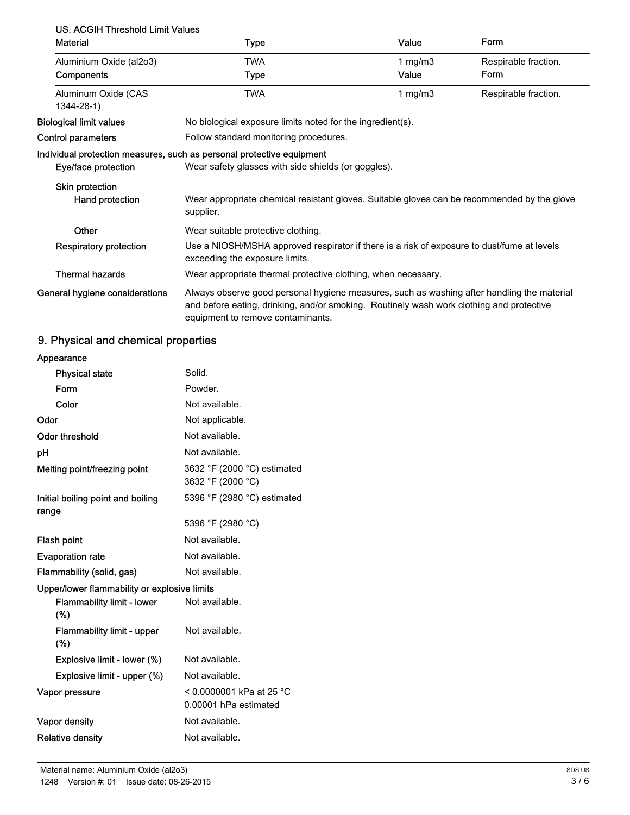# US. ACGIH Threshold Limit Values

| <b>Material</b>                           | <b>Type</b>                                                                                                                                                                                                                 | Value              | Form                         |
|-------------------------------------------|-----------------------------------------------------------------------------------------------------------------------------------------------------------------------------------------------------------------------------|--------------------|------------------------------|
| Aluminium Oxide (al2o3)<br>Components     | TWA<br><b>Type</b>                                                                                                                                                                                                          | 1 $mg/m3$<br>Value | Respirable fraction.<br>Form |
| Aluminum Oxide (CAS<br>$1344 - 28 - 1$    | <b>TWA</b>                                                                                                                                                                                                                  | 1 $mg/m3$          | Respirable fraction.         |
| Biological limit values                   | No biological exposure limits noted for the ingredient(s).                                                                                                                                                                  |                    |                              |
| <b>Control parameters</b>                 | Follow standard monitoring procedures.                                                                                                                                                                                      |                    |                              |
| Eye/face protection                       | Individual protection measures, such as personal protective equipment<br>Wear safety glasses with side shields (or goggles).                                                                                                |                    |                              |
| <b>Skin protection</b><br>Hand protection | Wear appropriate chemical resistant gloves. Suitable gloves can be recommended by the glove<br>supplier.                                                                                                                    |                    |                              |
| Other                                     | Wear suitable protective clothing.                                                                                                                                                                                          |                    |                              |
| <b>Respiratory protection</b>             | Use a NIOSH/MSHA approved respirator if there is a risk of exposure to dust/fume at levels<br>exceeding the exposure limits.                                                                                                |                    |                              |
| <b>Thermal hazards</b>                    | Wear appropriate thermal protective clothing, when necessary.                                                                                                                                                               |                    |                              |
| General hygiene considerations            | Always observe good personal hygiene measures, such as washing after handling the material<br>and before eating, drinking, and/or smoking. Routinely wash work clothing and protective<br>equipment to remove contaminants. |                    |                              |

# 9. Physical and chemical properties

| Appearance                                   |                                                     |
|----------------------------------------------|-----------------------------------------------------|
| <b>Physical state</b>                        | Solid.                                              |
| Form                                         | Powder.                                             |
| Color                                        | Not available.                                      |
| Odor                                         | Not applicable.                                     |
| <b>Odor threshold</b>                        | Not available.                                      |
| рH                                           | Not available.                                      |
| Melting point/freezing point                 | 3632 °F (2000 °C) estimated<br>3632 °F (2000 °C)    |
| Initial boiling point and boiling<br>range   | 5396 °F (2980 °C) estimated                         |
|                                              | 5396 °F (2980 °C)                                   |
| Flash point                                  | Not available.                                      |
| <b>Evaporation rate</b>                      | Not available.                                      |
| Flammability (solid, gas)                    | Not available.                                      |
| Upper/lower flammability or explosive limits |                                                     |
| <b>Flammability limit - lower</b><br>$(\%)$  | Not available.                                      |
| <b>Flammability limit - upper</b><br>$(\%)$  | Not available.                                      |
| Explosive limit - lower (%)                  | Not available.                                      |
| Explosive limit - upper (%)                  | Not available.                                      |
| Vapor pressure                               | $< 0.0000001$ kPa at 25 °C<br>0.00001 hPa estimated |
| Vapor density                                | Not available.                                      |
| <b>Relative density</b>                      | Not available.                                      |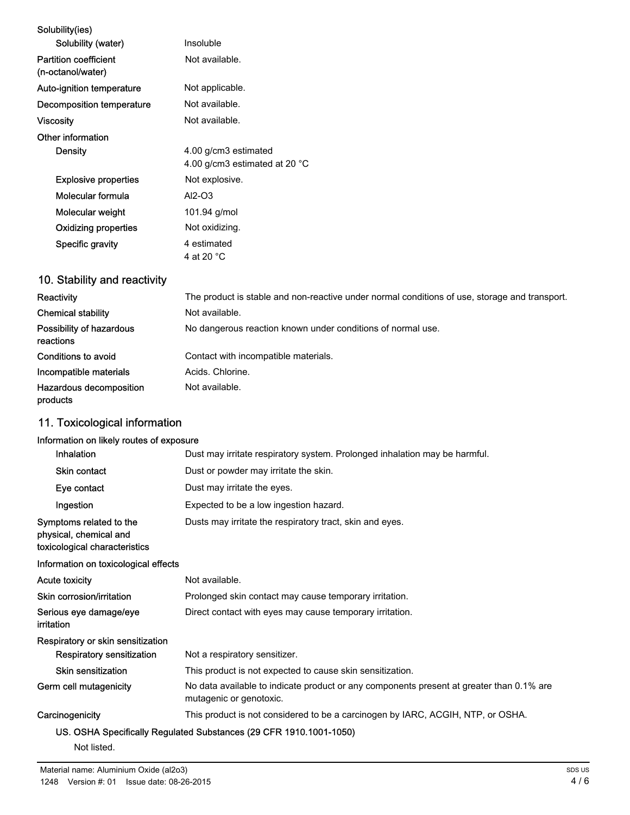| Solubility(ies)                                   |                                                                 |
|---------------------------------------------------|-----------------------------------------------------------------|
| Solubility (water)                                | Insoluble                                                       |
| <b>Partition coefficient</b><br>(n-octanol/water) | Not available.                                                  |
| Auto-ignition temperature                         | Not applicable.                                                 |
| Decomposition temperature                         | Not available.                                                  |
| <b>Viscosity</b>                                  | Not available.                                                  |
| Other information                                 |                                                                 |
| Density                                           | 4.00 g/cm3 estimated<br>4.00 g/cm3 estimated at 20 $^{\circ}$ C |
| <b>Explosive properties</b>                       | Not explosive.                                                  |
| Molecular formula                                 | $AI2-O3$                                                        |
| Molecular weight                                  | 101.94 g/mol                                                    |
| Oxidizing properties                              | Not oxidizing.                                                  |
| Specific gravity                                  | 4 estimated<br>4 at 20 °C                                       |

# 10. Stability and reactivity

| Reactivity                            | The product is stable and non-reactive under normal conditions of use, storage and transport. |
|---------------------------------------|-----------------------------------------------------------------------------------------------|
| <b>Chemical stability</b>             | Not available.                                                                                |
| Possibility of hazardous<br>reactions | No dangerous reaction known under conditions of normal use.                                   |
| Conditions to avoid                   | Contact with incompatible materials.                                                          |
| Incompatible materials                | Acids, Chlorine.                                                                              |
| Hazardous decomposition<br>products   | Not available.                                                                                |

# 11. Toxicological information

### Information on likely routes of exposure

| <b>Inhalation</b>                                                                  | Dust may irritate respiratory system. Prolonged inhalation may be harmful.                                          |
|------------------------------------------------------------------------------------|---------------------------------------------------------------------------------------------------------------------|
| Skin contact                                                                       | Dust or powder may irritate the skin.                                                                               |
| Eye contact                                                                        | Dust may irritate the eyes.                                                                                         |
| Ingestion                                                                          | Expected to be a low ingestion hazard.                                                                              |
| Symptoms related to the<br>physical, chemical and<br>toxicological characteristics | Dusts may irritate the respiratory tract, skin and eyes.                                                            |
| Information on toxicological effects                                               |                                                                                                                     |
| <b>Acute toxicity</b>                                                              | Not available.                                                                                                      |
| Skin corrosion/irritation                                                          | Prolonged skin contact may cause temporary irritation.                                                              |
| Serious eye damage/eye<br>irritation                                               | Direct contact with eyes may cause temporary irritation.                                                            |
| Respiratory or skin sensitization                                                  |                                                                                                                     |
| Respiratory sensitization                                                          | Not a respiratory sensitizer.                                                                                       |
| <b>Skin sensitization</b>                                                          | This product is not expected to cause skin sensitization.                                                           |
| Germ cell mutagenicity                                                             | No data available to indicate product or any components present at greater than 0.1% are<br>mutagenic or genotoxic. |
| Carcinogenicity                                                                    | This product is not considered to be a carcinogen by IARC, ACGIH, NTP, or OSHA.                                     |
|                                                                                    | US. OSHA Specifically Regulated Substances (29 CFR 1910.1001-1050)                                                  |

Not listed.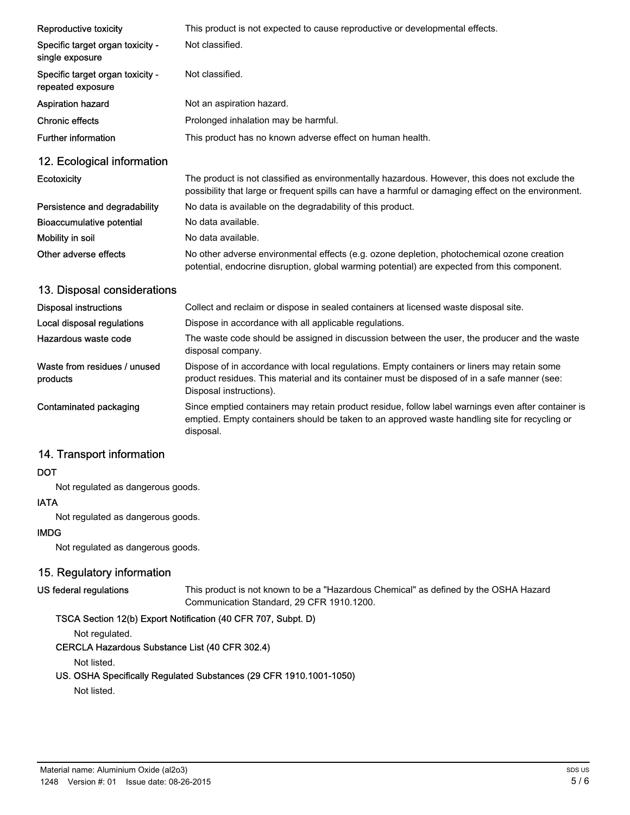| Reproductive toxicity                                 | This product is not expected to cause reproductive or developmental effects.                                                                                                                                           |
|-------------------------------------------------------|------------------------------------------------------------------------------------------------------------------------------------------------------------------------------------------------------------------------|
| Specific target organ toxicity -<br>single exposure   | Not classified.                                                                                                                                                                                                        |
| Specific target organ toxicity -<br>repeated exposure | Not classified.                                                                                                                                                                                                        |
| <b>Aspiration hazard</b>                              | Not an aspiration hazard.                                                                                                                                                                                              |
| <b>Chronic effects</b>                                | Prolonged inhalation may be harmful.                                                                                                                                                                                   |
| <b>Further information</b>                            | This product has no known adverse effect on human health.                                                                                                                                                              |
| 12. Ecological information                            |                                                                                                                                                                                                                        |
| <b>Ecotoxicity</b>                                    | The product is not classified as environmentally hazardous. However, this does not exclude the<br>possibility that large or frequent spills can have a harmful or damaging effect on the environment.                  |
| Persistence and degradability                         | No data is available on the degradability of this product.                                                                                                                                                             |
| <b>Bioaccumulative potential</b>                      | No data available.                                                                                                                                                                                                     |
| Mobility in soil                                      | No data available.                                                                                                                                                                                                     |
| Other adverse effects                                 | No other adverse environmental effects (e.g. ozone depletion, photochemical ozone creation<br>potential, endocrine disruption, global warming potential) are expected from this component.                             |
| 13. Disposal considerations                           |                                                                                                                                                                                                                        |
| <b>Disposal instructions</b>                          | Collect and reclaim or dispose in sealed containers at licensed waste disposal site.                                                                                                                                   |
| Local disposal regulations                            | Dispose in accordance with all applicable regulations.                                                                                                                                                                 |
| Hazardous waste code                                  | The waste code should be assigned in discussion between the user, the producer and the waste<br>disposal company.                                                                                                      |
| Waste from residues / unused<br>products              | Dispose of in accordance with local regulations. Empty containers or liners may retain some<br>product residues. This material and its container must be disposed of in a safe manner (see:<br>Disposal instructions). |
| <b>Contaminated packaging</b>                         | Since emptied containers may retain product residue, follow label warnings even after container is<br>emptied. Empty containers should be taken to an approved waste handling site for recycling or<br>disposal.       |

# 14. Transport information

#### **DOT**

Not regulated as dangerous goods.

#### IATA

Not regulated as dangerous goods.

#### IMDG

Not regulated as dangerous goods.

### 15. Regulatory information

#### US federal regulations

This product is not known to be a "Hazardous Chemical" as defined by the OSHA Hazard Communication Standard, 29 CFR 1910.1200.

### TSCA Section 12(b) Export Notification (40 CFR 707, Subpt. D)

Not regulated.

## CERCLA Hazardous Substance List (40 CFR 302.4)

Not listed.

#### US. OSHA Specifically Regulated Substances (29 CFR 1910.1001-1050)

Not listed.